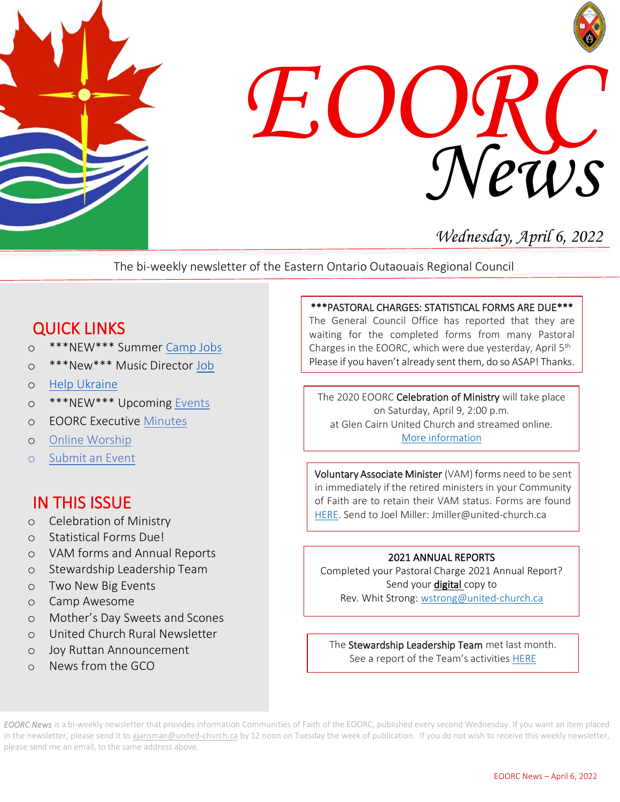



# *Wednesday, April 6, 2022*

The bi-weekly newsletter of the Eastern Ontario Outaouais Regional Council

## QUICK LINKS

- o \*\*\*NEW\*\*\* Summer [Camp Jobs](https://eoorc.ca/about-us/careers-volunteer-opportunities-2/)
- o \*\*\*New\*\*\* Music Director [Job](https://eoorc.ca/about-us/careers-volunteer-opportunities-2/)
- o [Help Ukraine](https://eoorc.ca/resources/ukraine-conflict-how-can-we-help/)
- o \*\*\*NEW\*\*\* Upcoming [Events](https://eoorc.ca/events/)
- o EOORC Executive [Minutes](https://eoorc.ca/about-us/governance/)
- o [Online Worship](https://eoorc.ca/resources/online-worship/)
- o [Submit](https://eoorc.ca/events/community/add) an Event

## IN THIS ISSUE

- o Celebration of Ministry
- o Statistical Forms Due!
- o VAM forms and Annual Reports
- o Stewardship Leadership Team
- o Two New Big Events
- o Camp Awesome
- o Mother's Day Sweets and Scones
- o United Church Rural Newsletter
- o Joy Ruttan Announcement
- o News from the GCO

#### \*\*\*PASTORAL CHARGES: STATISTICAL FORMS ARE DUE\*\*\*

The General Council Office has reported that they are waiting for the completed forms from many Pastoral Charges in the EOORC, which were due yesterday, April 5th Please if you haven't already sent them, do so ASAP! Thanks.

The 2020 EOORC Celebration of Ministry will take place on Saturday, April 9, 2:00 p.m. at Glen Cairn United Church and streamed online. [More information](https://eoorc.ca/event/celebration-of-ministry-2/)

Voluntary Associate Minister (VAM) forms need to be sent in immediately if the retired ministers in your Community of Faith are to retain their VAM status. Forms are found [HERE.](https://eoorc.ca/resources/forms/) Send to Joel Miller: Jmiller@united-church.ca

#### 2021 ANNUAL REPORTS

Completed your Pastoral Charge 2021 Annual Report? Send your digital copy to Rev. Whit Strong[: wstrong@united-church.ca](mailto:wstrong@united-church.ca)

See a report of the Team's activities <u>[HERE](https://eoorc.ca/wp-content/uploads/2022/04/EOORC-Stewardship-Team-Report-March-2022.pdf)</u><br>———————————————————— The Stewardship Leadership Team met last month.

*EOORC News* is a bi-weekly newsletter that provides information Communities of Faith of the EOORC, published every second Wednesday. If you want an item placed in the newsletter, please send it to [ajansman@united-church.ca](mailto:ajansman@united-church.ca) by 12 noon on Tuesday the week of publication. If you do not wish to receive this weekly newsletter, please send me an email, to the same address above.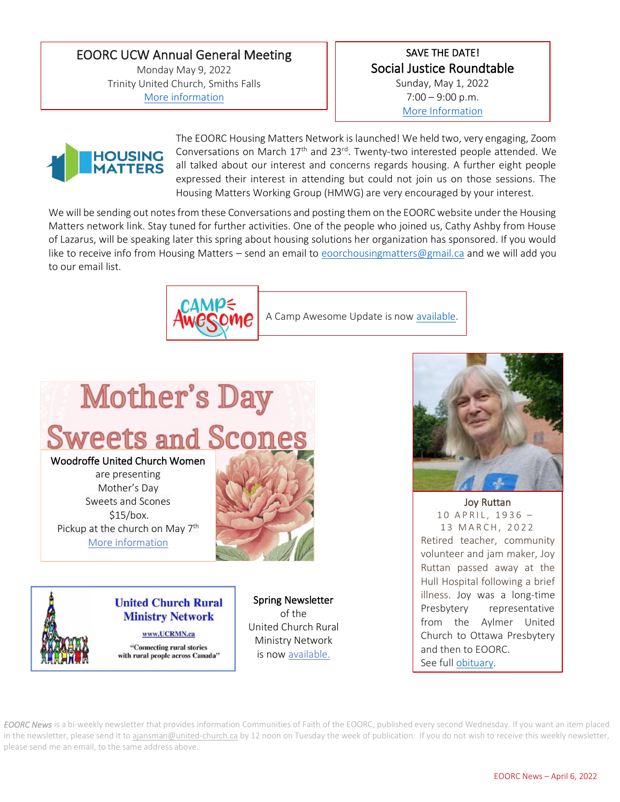EOORC UCW Annual General Meeting Monday May 9, 2022 Trinity United Church, Smiths Falls [More information](https://eoorc.ca/event/eoorc-ucw-annual-general-meeting/)

#### SAVE THE DATE! Social Justice Roundtable Sunday, May 1, 2022  $7:00 - 9:00$  p.m.

[More Information](https://eoorc.ca/event/social-justice-roundtable/)



The EOORC Housing Matters Network is launched! We held two, very engaging, Zoom Conversations on March  $17<sup>th</sup>$  and  $23<sup>rd</sup>$ . Twenty-two interested people attended. We all talked about our interest and concerns regards housing. A further eight people expressed their interest in attending but could not join us on those sessions. The Housing Matters Working Group (HMWG) are very encouraged by your interest.

We will be sending out notes from these Conversations and posting them on the EOORC website under the Housing Matters network link. Stay tuned for further activities. One of the people who joined us, Cathy Ashby from House of Lazarus, will be speaking later this spring about housing solutions her organization has sponsored. If you would like to receive info from Housing Matters – send an email to [eoorchousingmatters@gmail.ca](mailto:eoorchousingmatters@gmail.ca) and we will add you to our email list.



A Camp Awesome Update is now [available.](https://eoorc.ca/wp-content/uploads/2022/04/Camp-Awesome-Update.pdf)

# **Mother's Day Sweets and Scones** Woodroffe United Church Women

are presenting Mother's Day Sweets and Scones \$15/box. Pickup at the church on May 7<sup>th</sup> [More information](https://eoorc.ca/event/mothers-day-sweets-and-scones-woodroffe-uc-women/)



**United Church Rural Ministry Network** www.UCRMN.ca "Connecting rural stories with rural people across Canada"

Spring Newsletter of the United Church Rural Ministry Network is no[w available.](https://mailchi.mp/9ea3c259ee4b/summer-newsletter-from-ucrmn-11453702?e=e75cce5971)



Joy Ruttan 10 A P R I L, 1936 -13 MARCH, 2022 Retired teacher, community volunteer and jam maker, Joy Ruttan passed away at the Hull Hospital following a brief illness. Joy was a long-time Presbytery representative from the Aylmer United Church to Ottawa Presbytery and then to EOORC. See ful[l obituary.](https://www.dignitymemorial.com/en-ca/obituaries/aylmer-qc/joy-ruttan-10629782?msclkid=a8735d96aeaa11ecb5545bbece67e457)

*EOORC News* is a bi-weekly newsletter that provides information Communities of Faith of the EOORC, published every second Wednesday. If you want an item placed in the newsletter, please send it to [ajansman@united-church.ca](mailto:ajansman@united-church.ca) by 12 noon on Tuesday the week of publication. If you do not wish to receive this weekly newsletter, please send me an email, to the same address above.